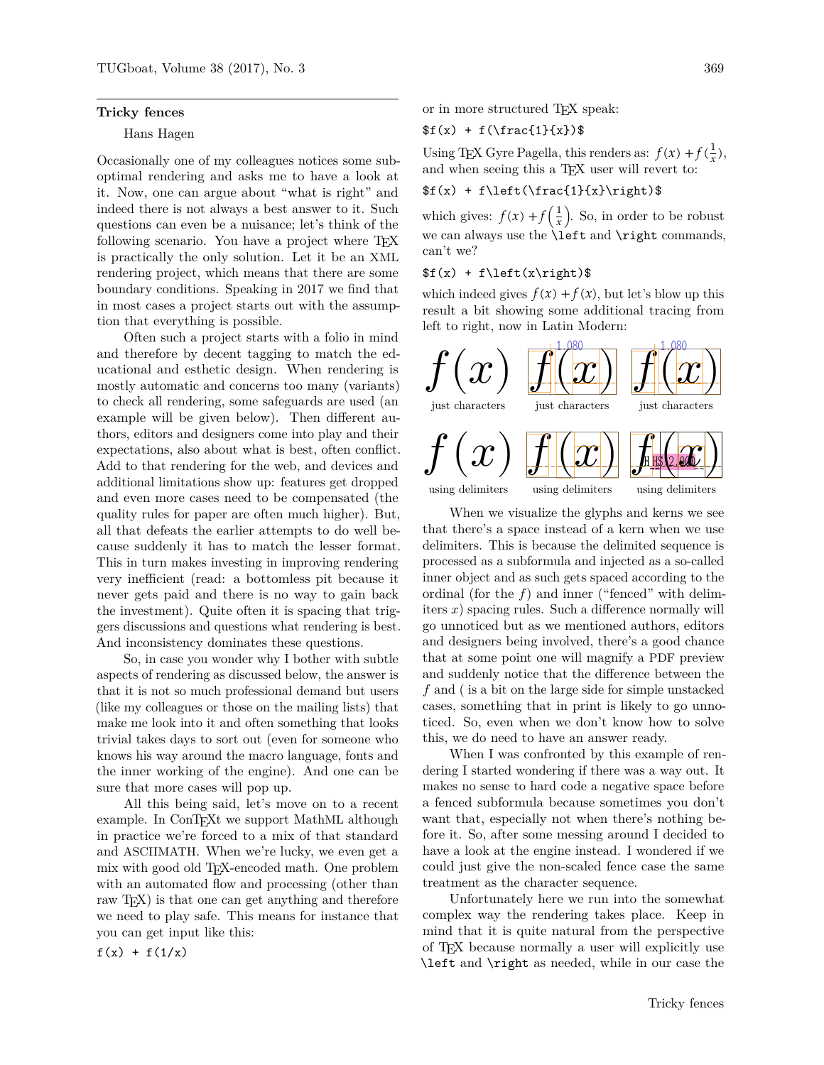#### **Tricky fences**

#### Hans Hagen

Occasionally one of my colleagues notices some suboptimal rendering and asks me to have a look at it. Now, one can argue about "what is right" and indeed there is not always a best answer to it. Such questions can even be a nuisance; let's think of the following scenario. You have a project where TFX is practically the only solution. Let it be an XML rendering project, which means that there are some boundary conditions. Speaking in 2017 we find that in most cases a project starts out with the assumption that everything is possible.

Often such a project starts with a folio in mind and therefore by decent tagging to match the educational and esthetic design. When rendering is mostly automatic and concerns too many (variants) to check all rendering, some safeguards are used (an example will be given below). Then different authors, editors and designers come into play and their expectations, also about what is best, often conflict. Add to that rendering for the web, and devices and additional limitations show up: features get dropped and even more cases need to be compensated (the quality rules for paper are often much higher). But, all that defeats the earlier attempts to do well because suddenly it has to match the lesser format. This in turn makes investing in improving rendering very inefficient (read: a bottomless pit because it never gets paid and there is no way to gain back the investment). Quite often it is spacing that triggers discussions and questions what rendering is best. And inconsistency dominates these questions.

So, in case you wonder why I bother with subtle aspects of rendering as discussed below, the answer is that it is not so much professional demand but users (like my colleagues or those on the mailing lists) that make me look into it and often something that looks trivial takes days to sort out (even for someone who knows his way around the macro language, fonts and the inner working of the engine). And one can be sure that more cases will pop up.

All this being said, let's move on to a recent example. In ConT<sub>E</sub>Xt we support MathML although in practice we're forced to a mix of that standard and ASCIIMATH. When we're lucky, we even get a mix with good old TEX-encoded math. One problem with an automated flow and processing (other than raw TEX) is that one can get anything and therefore we need to play safe. This means for instance that you can get input like this:

 $f(x) + f(1/x)$ 

or in more structured TEX speak:

### $f(x) + f(\frac{1}{x})$ \$

Using TEX Gyre Pagella, this renders as:  $f(x) + f(\frac{1}{x}),$ and when seeing this a T<sub>EX</sub> user will revert to:

## $f(x) + f\left(\frac{1}{x}\right)\$

which gives:  $f(x) + f\left(\frac{1}{x}\right)$ . So, in order to be robust we can always use the **\left** and **\right** commands, can't we?

### $f(x) + f\left(x\right)$

which indeed gives  $f(x) + f(x)$ , but let's blow up this result a bit showing some additional tracing from left to right, now in Latin Modern:



When we visualize the glyphs and kerns we see that there's a space instead of a kern when we use delimiters. This is because the delimited sequence is processed as a subformula and injected as a so-called inner object and as such gets spaced according to the ordinal (for the *f*) and inner ("fenced" with delimiters *x*) spacing rules. Such a difference normally will go unnoticed but as we mentioned authors, editors and designers being involved, there's a good chance that at some point one will magnify a PDF preview and suddenly notice that the difference between the *f* and ( is a bit on the large side for simple unstacked cases, something that in print is likely to go unnoticed. So, even when we don't know how to solve this, we do need to have an answer ready.

When I was confronted by this example of rendering I started wondering if there was a way out. It makes no sense to hard code a negative space before a fenced subformula because sometimes you don't want that, especially not when there's nothing before it. So, after some messing around I decided to have a look at the engine instead. I wondered if we could just give the non-scaled fence case the same treatment as the character sequence.

Unfortunately here we run into the somewhat complex way the rendering takes place. Keep in mind that it is quite natural from the perspective of TEX because normally a user will explicitly use \left and \right as needed, while in our case the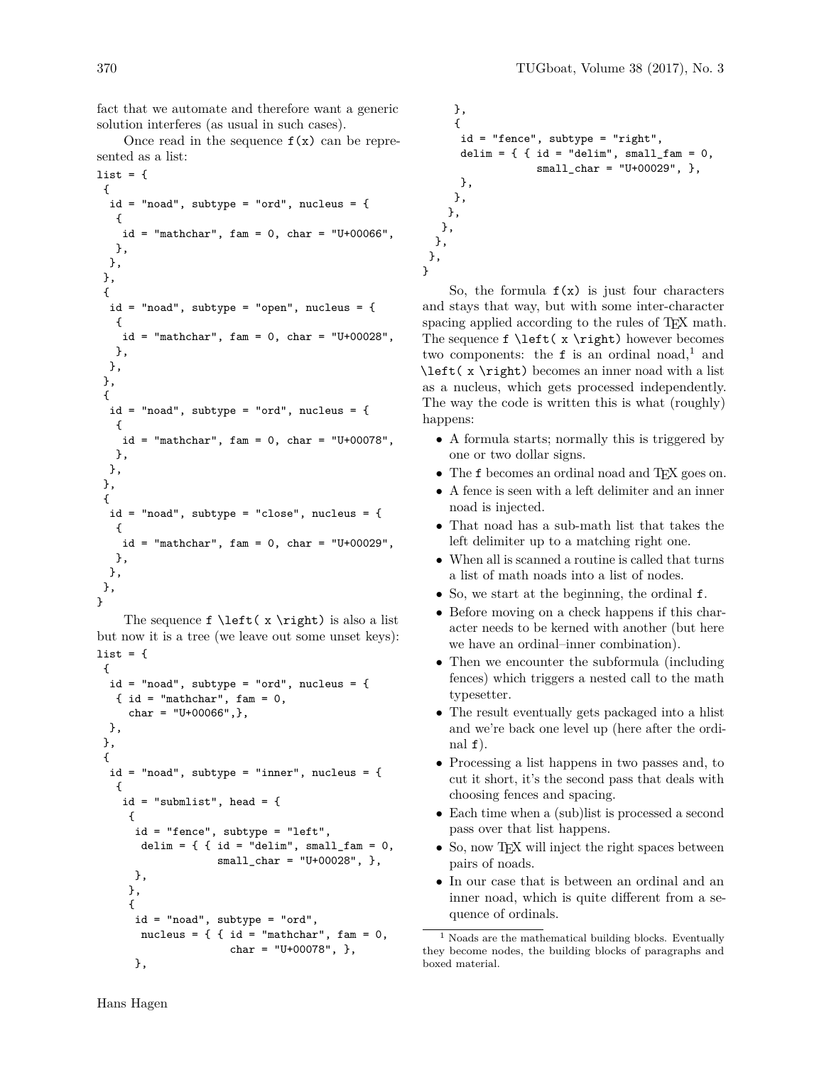fact that we automate and therefore want a generic solution interferes (as usual in such cases).

Once read in the sequence  $f(x)$  can be represented as a list:

```
list = f{
 id = "nod", subtype = "ord", nucleus = {{
    id = "mathchar", fan = 0, char = "U+00066",},
 },
},
 {
  id = "noad", subtype = "open", nucleus = {
  {
   id = "mathchar", fan = 0, char = "U+00028",},
 },
},
{
 id = "nod", subtype = "ord", nucleus = {{
   id = "mathchar", fan = 0, char = "U+00078",},
 },
},
{
 id = "nod", subtype = "close", nucleus = {{
    id = "mathchar", fan = 0, char = "U+00029",},
 },
},
}
```
The sequence  $f \left( x \right)$  is also a list but now it is a tree (we leave out some unset keys): list =  $\{$ 

```
\mathcal{F}id = "nod", subtype = "ord", nucleus = {\{ id = "mathchar", fan = 0,char = ''U+00066",},
},
},
{
 id = "noad", subtype = "inner", nucleus = {
  {
   id = "submlist", head = {
    {
     id = "fence", subtype = "left",
      delim = { \{ id = "delim", small_fam = 0,
                   small_char = "U+00028", },
     },
    },
    {
     id = "noad", subtype = "ord",
      nucleus = \{ \{ id = "mathchar", fan = 0, \}char = "U+00078", },
     },
```

```
},
    {
     id = "fence", subtype = "right",
     delim = \{ { id = "delim", small_fam = 0,
                  small char = "U+00029", },
     },
    },
   },
  },
 },
},
```
}

So, the formula  $f(x)$  is just four characters and stays that way, but with some inter-character spacing applied according to the rules of T<sub>EX</sub> math. The sequence  $f \left(x \right)$  however becomes two components: the  $f$  is an ordinal noad,<sup>1</sup> and \left( x \right) becomes an inner noad with a list as a nucleus, which gets processed independently. The way the code is written this is what (roughly) happens:

- A formula starts; normally this is triggered by one or two dollar signs.
- The f becomes an ordinal noad and TFX goes on.
- A fence is seen with a left delimiter and an inner noad is injected.
- That noad has a sub-math list that takes the left delimiter up to a matching right one.
- When all is scanned a routine is called that turns a list of math noads into a list of nodes.
- So, we start at the beginning, the ordinal f.
- Before moving on a check happens if this character needs to be kerned with another (but here we have an ordinal–inner combination).
- Then we encounter the subformula (including) fences) which triggers a nested call to the math typesetter.
- The result eventually gets packaged into a hlist and we're back one level up (here after the ordinal  $f$ ).
- Processing a list happens in two passes and, to cut it short, it's the second pass that deals with choosing fences and spacing.
- Each time when a (sub)list is processed a second pass over that list happens.
- So, now TFX will inject the right spaces between pairs of noads.
- In our case that is between an ordinal and an inner noad, which is quite different from a sequence of ordinals.

<sup>1</sup> Noads are the mathematical building blocks. Eventually they become nodes, the building blocks of paragraphs and boxed material.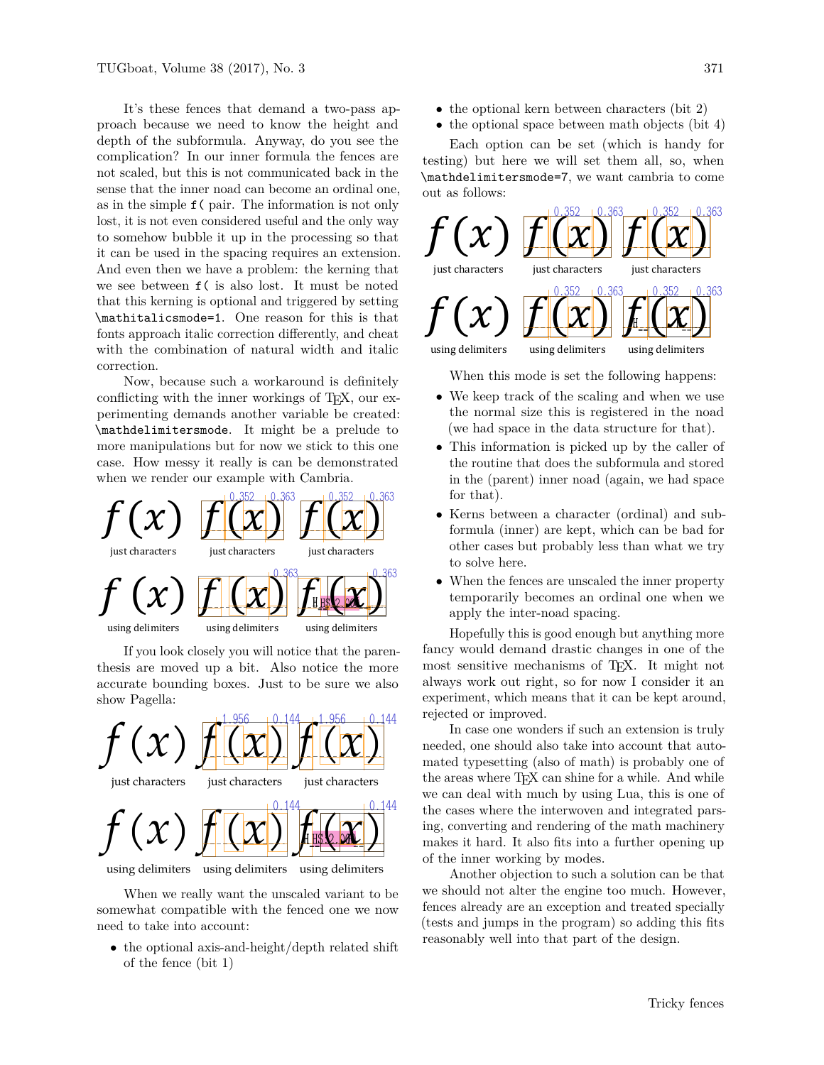It's these fences that demand a two-pass approach because we need to know the height and depth of the subformula. Anyway, do you see the complication? In our inner formula the fences are not scaled, but this is not communicated back in the sense that the inner noad can become an ordinal one, as in the simple f( pair. The information is not only lost, it is not even considered useful and the only way to somehow bubble it up in the processing so that it can be used in the spacing requires an extension. And even then we have a problem: the kerning that we see between f( is also lost. It must be noted that this kerning is optional and triggered by setting \mathitalicsmode=1. One reason for this is that fonts approach italic correction differently, and cheat with the combination of natural width and italic correction.

Now, because such a workaround is definitely conflicting with the inner workings of TEX, our experimenting demands another variable be created: \mathdelimitersmode. It might be a prelude to more manipulations but for now we stick to this one case. How messy it really is can be demonstrated when we render our example with Cambria.



If you look closely you will notice that the parenthesis are moved up a bit. Also notice the more accurate bounding boxes. Just to be sure we also show Pagella:



When we really want the unscaled variant to be somewhat compatible with the fenced one we now need to take into account:

• the optional axis-and-height/depth related shift of the fence (bit 1)

- the optional kern between characters (bit 2)
- the optional space between math objects (bit 4)

Each option can be set (which is handy for testing) but here we will set them all, so, when \mathdelimitersmode=7, we want cambria to come out as follows:



When this mode is set the following happens:

- We keep track of the scaling and when we use the normal size this is registered in the noad (we had space in the data structure for that).
- This information is picked up by the caller of the routine that does the subformula and stored in the (parent) inner noad (again, we had space for that).
- Kerns between a character (ordinal) and subformula (inner) are kept, which can be bad for other cases but probably less than what we try to solve here.
- When the fences are unscaled the inner property temporarily becomes an ordinal one when we apply the inter-noad spacing.

Hopefully this is good enough but anything more fancy would demand drastic changes in one of the most sensitive mechanisms of TEX. It might not always work out right, so for now I consider it an experiment, which means that it can be kept around, rejected or improved.

In case one wonders if such an extension is truly needed, one should also take into account that automated typesetting (also of math) is probably one of the areas where TFX can shine for a while. And while we can deal with much by using Lua, this is one of the cases where the interwoven and integrated parsing, converting and rendering of the math machinery makes it hard. It also fits into a further opening up of the inner working by modes.

Another objection to such a solution can be that we should not alter the engine too much. However, fences already are an exception and treated specially (tests and jumps in the program) so adding this fits reasonably well into that part of the design.